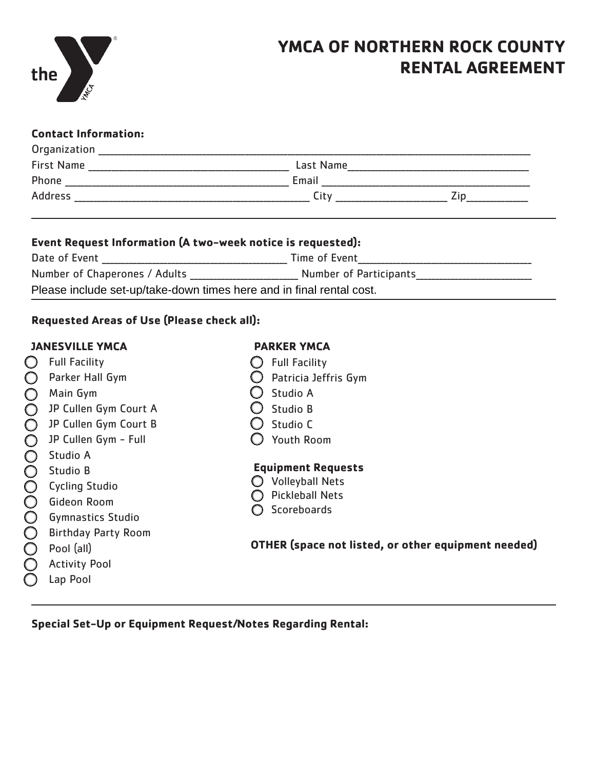

# **YMCA OF NORTHERN ROCK COUNTY RENTAL AGREEMENT**

## **Contact Information:**

| Organization      |           |  |
|-------------------|-----------|--|
| <b>First Name</b> | Last Name |  |
| Phone             | Email     |  |
| Address           | ⊺itv      |  |

### **Event Request Information (A two-week notice is requested):**

| Date of Event                                                        | Time of Event          |  |  |  |
|----------------------------------------------------------------------|------------------------|--|--|--|
| Number of Chaperones / Adults                                        | Number of Participants |  |  |  |
| Please include set-up/take-down times here and in final rental cost. |                        |  |  |  |

# **Requested Areas of Use (Please check all):**

### **JANESVILLE YMCA**

- $\bigcirc$  Full Facility **O** Parker Hall Gym
- $\bigcap$  Main Gym
- D JP Cullen Gym Court A
- **O** JP Cullen Gym Court B
	- **JP Cullen Gym Full**
	- **Studio A**
	- • Studio B
	-
	- **Cycling Studio**
	- • Gideon Room
	- • Gymnastics Studio
	- **Birthday Party Room**
	- • Pool (all)
	- **Activity Pool**
	- Lap Pool

# **PARKER YMCA**

- $\bigcirc$  Full Facility
- $\bigcirc$  Patricia Jeffris Gym
- $\bigcirc$  Studio A
- $\bigcirc$  Studio B
- $\bigcirc$  Studio C
- $\bigcirc$  Youth Room

# **Equipment Requests**

- $\bigcirc$  Volleyball Nets
- $\bigcirc$  Pickleball Nets
- $\bigcap$  Scoreboards

# **OTHER (space not listed, or other equipment needed)**

**Special Set-Up or Equipment Request/Notes Regarding Rental:**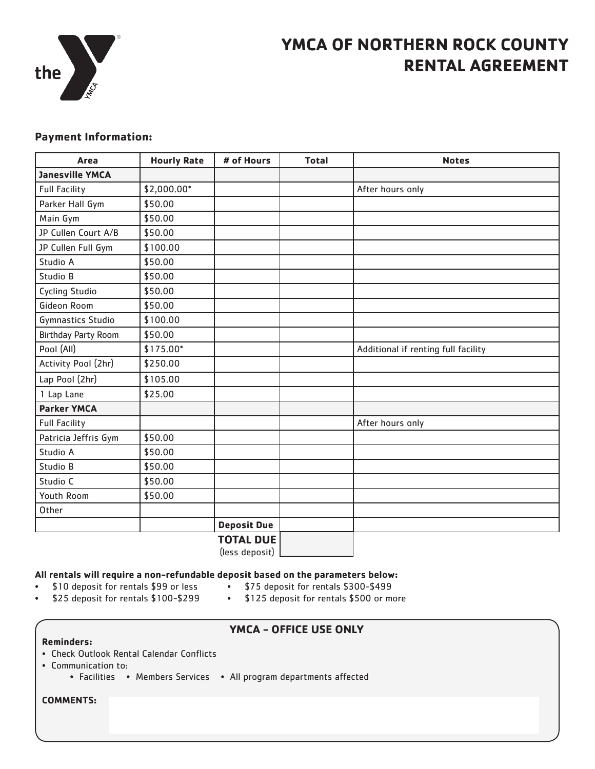

# **YMCA OF NORTHERN ROCK COUNTY RENTAL AGREEMENT**

### **Payment Information:**

| Area                       | <b>Hourly Rate</b> | # of Hours         | <b>Total</b> | <b>Notes</b>                        |  |
|----------------------------|--------------------|--------------------|--------------|-------------------------------------|--|
| <b>Janesville YMCA</b>     |                    |                    |              |                                     |  |
| <b>Full Facility</b>       | \$2,000.00*        |                    |              | After hours only                    |  |
| Parker Hall Gym            | \$50.00            |                    |              |                                     |  |
| Main Gym                   | \$50.00            |                    |              |                                     |  |
| JP Cullen Court A/B        | \$50.00            |                    |              |                                     |  |
| JP Cullen Full Gym         | \$100.00           |                    |              |                                     |  |
| Studio A                   | \$50.00            |                    |              |                                     |  |
| Studio B                   | \$50.00            |                    |              |                                     |  |
| <b>Cycling Studio</b>      | \$50.00            |                    |              |                                     |  |
| Gideon Room                | \$50.00            |                    |              |                                     |  |
| Gymnastics Studio          | \$100.00           |                    |              |                                     |  |
| <b>Birthday Party Room</b> | \$50.00            |                    |              |                                     |  |
| Pool (All)                 | \$175.00*          |                    |              | Additional if renting full facility |  |
| Activity Pool (2hr)        | \$250.00           |                    |              |                                     |  |
| Lap Pool (2hr)             | \$105.00           |                    |              |                                     |  |
| 1 Lap Lane                 | \$25.00            |                    |              |                                     |  |
| <b>Parker YMCA</b>         |                    |                    |              |                                     |  |
| <b>Full Facility</b>       |                    |                    |              | After hours only                    |  |
| Patricia Jeffris Gym       | \$50.00            |                    |              |                                     |  |
| Studio A                   | \$50.00            |                    |              |                                     |  |
| Studio B                   | \$50.00            |                    |              |                                     |  |
| Studio C                   | \$50.00            |                    |              |                                     |  |
| Youth Room                 | \$50.00            |                    |              |                                     |  |
| Other                      |                    |                    |              |                                     |  |
|                            |                    | <b>Deposit Due</b> |              |                                     |  |
|                            |                    | <b>TOTAL DUE</b>   |              |                                     |  |

(less deposit)

#### **All rentals will require a non-refundable deposit based on the parameters below:**

- • \$10 deposit for rentals \$99 or less
- • \$75 deposit for rentals \$300-\$499
- • \$25 deposit for rentals \$100-\$299
- • \$125 deposit for rentals \$500 or more
- - **YMCA OFFICE USE ONLY**
- **Reminders:**
- Check Outlook Rental Calendar Conflicts
- Communication to:
	- Facilities Members Services All program departments affected

**COMMENTS:**